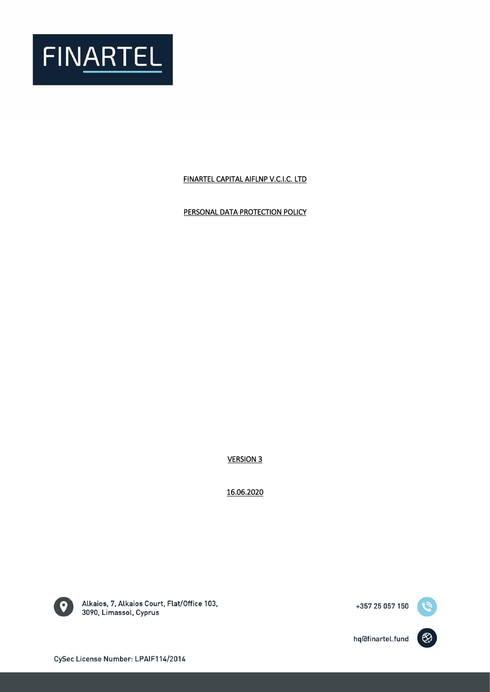

# FINARTEL CAPITAL AIFLNP V.C.I.C. LTD

PERSONAL DATA PROTECTION POLICY

VERSION 3

16.06.2020



Alkaios, 7, Alkaios Court, Flat/Office 103, 3090, Limassol, Cyprus



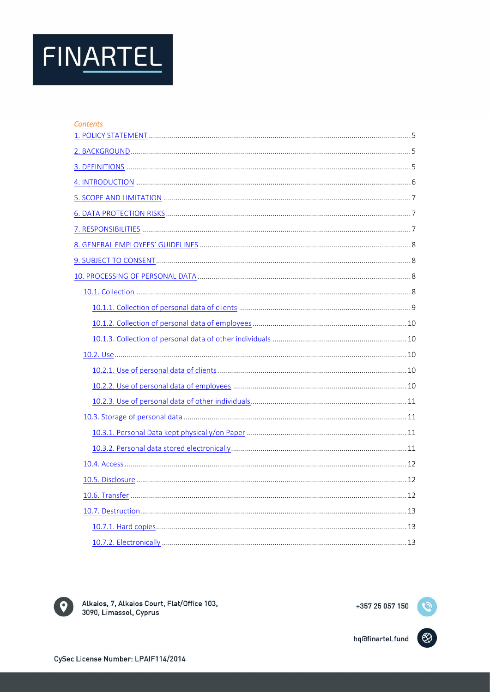| Contents |  |
|----------|--|
|          |  |
|          |  |
|          |  |
|          |  |
|          |  |
|          |  |
|          |  |
|          |  |
|          |  |
|          |  |
|          |  |
|          |  |
|          |  |
|          |  |
|          |  |
|          |  |
|          |  |
|          |  |
|          |  |
|          |  |
|          |  |
|          |  |
|          |  |
|          |  |
|          |  |
|          |  |
|          |  |



Alkaios, 7, Alkaios Court, Flat/Office 103, 3090, Limassol, Cyprus

hq@finartel.fund



Ø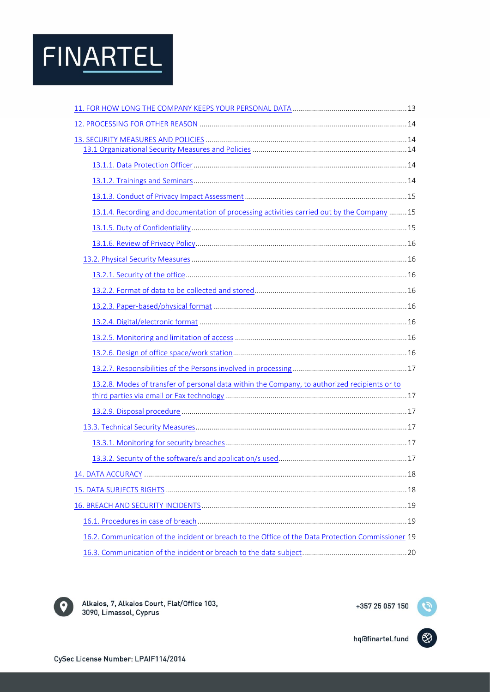| 13.1.4. Recording and documentation of processing activities carried out by the Company  15        |  |
|----------------------------------------------------------------------------------------------------|--|
|                                                                                                    |  |
|                                                                                                    |  |
|                                                                                                    |  |
|                                                                                                    |  |
|                                                                                                    |  |
|                                                                                                    |  |
|                                                                                                    |  |
|                                                                                                    |  |
|                                                                                                    |  |
|                                                                                                    |  |
| 13.2.8. Modes of transfer of personal data within the Company, to authorized recipients or to      |  |
|                                                                                                    |  |
|                                                                                                    |  |
|                                                                                                    |  |
|                                                                                                    |  |
|                                                                                                    |  |
|                                                                                                    |  |
|                                                                                                    |  |
|                                                                                                    |  |
|                                                                                                    |  |
| 16.2. Communication of the incident or breach to the Office of the Data Protection Commissioner 19 |  |
|                                                                                                    |  |



Alkaios, 7, Alkaios Court, Flat/Office 103, 3090, Limassol, Cyprus

+357 25 057 150

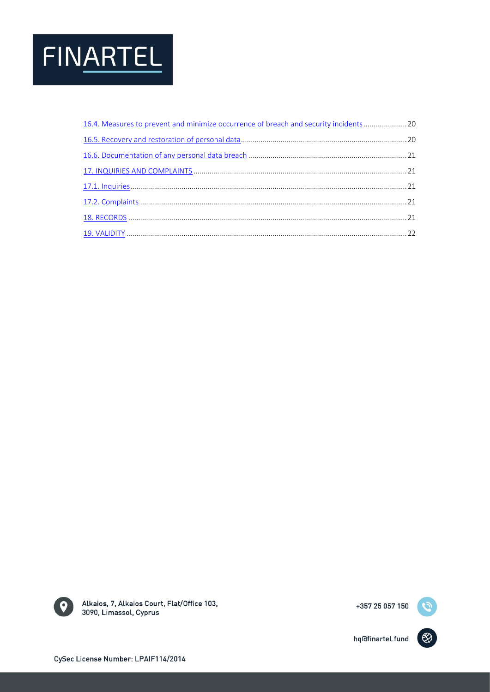<span id="page-3-0"></span>

| 16.4. Measures to prevent and minimize occurrence of breach and security incidents20 |  |
|--------------------------------------------------------------------------------------|--|
|                                                                                      |  |
|                                                                                      |  |
|                                                                                      |  |
|                                                                                      |  |
|                                                                                      |  |
|                                                                                      |  |
|                                                                                      |  |



Alkaios, 7, Alkaios Court, Flat/Office 103, 3090, Limassol, Cyprus

+357 25 057 150



(හි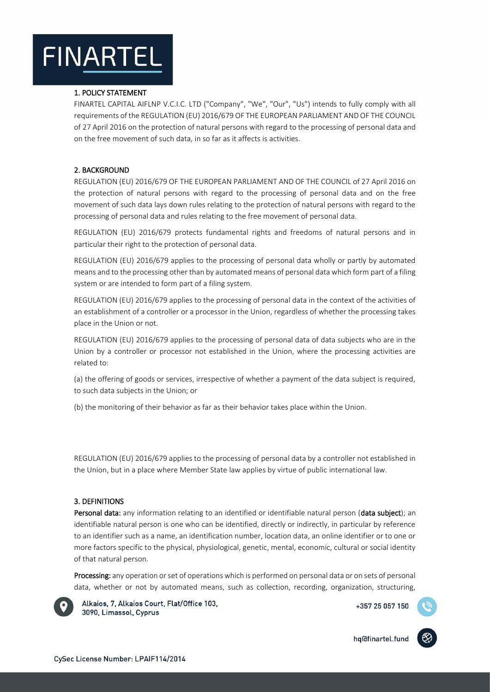# 1. POLICY STATEMENT

FINARTEL CAPITAL AIFLNP V.C.I.C. LTD ("Company", "We", "Our", "Us") intends to fully comply with all requirements of the REGULATION (EU) 2016/679 OF THE EUROPEAN PARLIAMENT AND OF THE COUNCIL of 27 April 2016 on the protection of natural persons with regard to the processing of personal data and on the free movement of such data, in so far as it affects is activities.

# <span id="page-4-0"></span>2. BACKGROUND

REGULATION (EU) 2016/679 OF THE EUROPEAN PARLIAMENT AND OF THE COUNCIL of 27 April 2016 on the protection of natural persons with regard to the processing of personal data and on the free movement of such data lays down rules relating to the protection of natural persons with regard to the processing of personal data and rules relating to the free movement of personal data.

REGULATION (EU) 2016/679 protects fundamental rights and freedoms of natural persons and in particular their right to the protection of personal data.

REGULATION (EU) 2016/679 applies to the processing of personal data wholly or partly by automated means and to the processing other than by automated means of personal data which form part of a filing system or are intended to form part of a filing system.

REGULATION (EU) 2016/679 applies to the processing of personal data in the context of the activities of an establishment of a controller or a processor in the Union, regardless of whether the processing takes place in the Union or not.

REGULATION (EU) 2016/679 applies to the processing of personal data of data subjects who are in the Union by a controller or processor not established in the Union, where the processing activities are related to:

(a) the offering of goods or services, irrespective of whether a payment of the data subject is required, to such data subjects in the Union; or

(b) the monitoring of their behavior as far as their behavior takes place within the Union.

REGULATION (EU) 2016/679 applies to the processing of personal data by a controller not established in the Union, but in a place where Member State law applies by virtue of public international law.

### <span id="page-4-1"></span>3. DEFINITIONS

Personal data: any information relating to an identified or identifiable natural person (data subject); an identifiable natural person is one who can be identified, directly or indirectly, in particular by reference to an identifier such as a name, an identification number, location data, an online identifier or to one or more factors specific to the physical, physiological, genetic, mental, economic, cultural or social identity of that natural person.

Processing: any operation or set of operations which is performed on personal data or on sets of personal data, whether or not by automated means, such as collection, recording, organization, structuring,



Alkaios, 7, Alkaios Court, Flat/Office 103, 3090, Limassol, Cyprus

+357 25 057 150

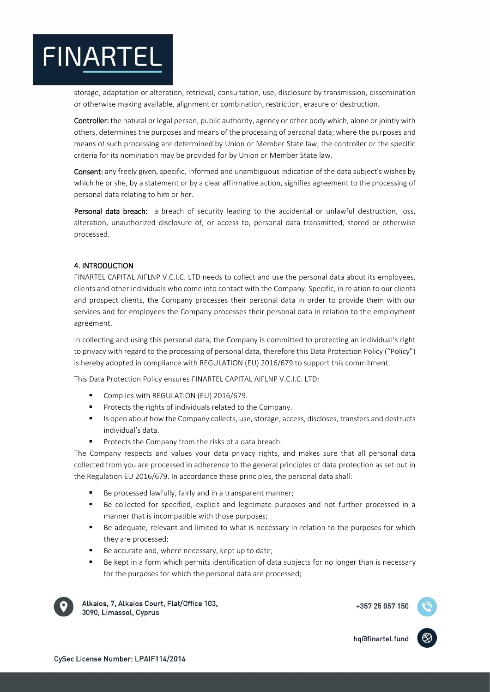storage, adaptation or alteration, retrieval, consultation, use, disclosure by transmission, dissemination or otherwise making available, alignment or combination, restriction, erasure or destruction.

Controller: the natural or legal person, public authority, agency or other body which, alone or jointly with others, determines the purposes and means of the processing of personal data; where the purposes and means of such processing are determined by Union or Member State law, the controller or the specific criteria for its nomination may be provided for by Union or Member State law.

Consent: any freely given, specific, informed and unambiguous indication of the data subject's wishes by which he or she, by a statement or by a clear affirmative action, signifies agreement to the processing of personal data relating to him or her.

Personal data breach: a breach of security leading to the accidental or unlawful destruction, loss, alteration, unauthorized disclosure of, or access to, personal data transmitted, stored or otherwise processed.

# <span id="page-5-0"></span>4. INTRODUCTION

FINARTEL CAPITAL AIFLNP V.C.I.C. LTD needs to collect and use the personal data about its employees, clients and other individuals who come into contact with the Company. Specific, in relation to our clients and prospect clients, the Company processes their personal data in order to provide them with our services and for employees the Company processes their personal data in relation to the employment agreement.

In collecting and using this personal data, the Company is committed to protecting an individual's right to privacy with regard to the processing of personal data, therefore this Data Protection Policy ("Policy") is hereby adopted in compliance with REGULATION (EU) 2016/679 to support this commitment.

This Data Protection Policy ensures FINARTEL CAPITAL AIFLNP V.C.I.C. LTD:

- **Complies with REGULATION (EU) 2016/679.**
- Protects the rights of individuals related to the Company.
- Is open about how the Company collects, use, storage, access, discloses, transfers and destructs individual's data.
- Protects the Company from the risks of a data breach.

The Company respects and values your data privacy rights, and makes sure that all personal data collected from you are processed in adherence to the general principles of data protection as set out in the Regulation EU 2016/679. In accordance these principles, the personal data shall:

- Be processed lawfully, fairly and in a transparent manner;
- Be collected for specified, explicit and legitimate purposes and not further processed in a manner that is incompatible with those purposes;
- Be adequate, relevant and limited to what is necessary in relation to the purposes for which they are processed;
- Be accurate and, where necessary, kept up to date;
- Be kept in a form which permits identification of data subjects for no longer than is necessary for the purposes for which the personal data are processed;



Alkaios, 7, Alkaios Court, Flat/Office 103, 3090, Limassol, Cyprus

+357 25 057 150

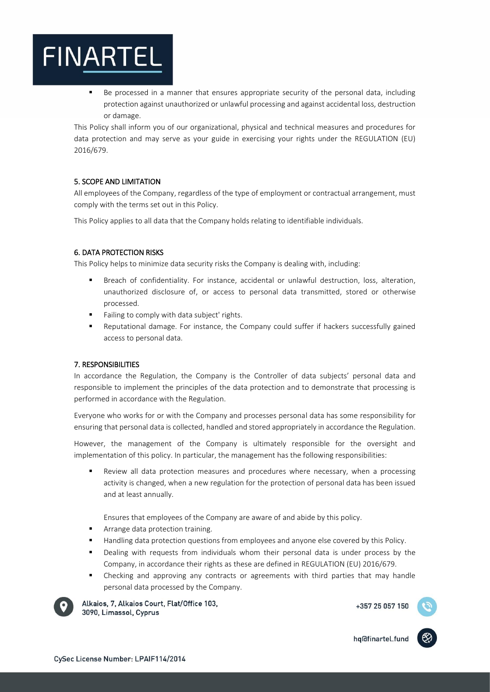Be processed in a manner that ensures appropriate security of the personal data, including protection against unauthorized or unlawful processing and against accidental loss, destruction or damage.

This Policy shall inform you of our organizational, physical and technical measures and procedures for data protection and may serve as your guide in exercising your rights under the REGULATION (EU) 2016/679.

# <span id="page-6-0"></span>5. SCOPE AND LIMITATION

All employees of the Company, regardless of the type of employment or contractual arrangement, must comply with the terms set out in this Policy.

<span id="page-6-1"></span>This Policy applies to all data that the Company holds relating to identifiable individuals.

### 6. DATA PROTECTION RISKS

This Policy helps to minimize data security risks the Company is dealing with, including:

- Breach of confidentiality. For instance, accidental or unlawful destruction, loss, alteration, unauthorized disclosure of, or access to personal data transmitted, stored or otherwise processed.
- Failing to comply with data subject' rights.
- Reputational damage. For instance, the Company could suffer if hackers successfully gained access to personal data.

### <span id="page-6-2"></span>7. RESPONSIBILITIES

In accordance the Regulation, the Company is the Controller of data subjects' personal data and responsible to implement the principles of the data protection and to demonstrate that processing is performed in accordance with the Regulation.

Everyone who works for or with the Company and processes personal data has some responsibility for ensuring that personal data is collected, handled and stored appropriately in accordance the Regulation.

However, the management of the Company is ultimately responsible for the oversight and implementation of this policy. In particular, the management has the following responsibilities:

 Review all data protection measures and procedures where necessary, when a processing activity is changed, when a new regulation for the protection of personal data has been issued and at least annually.

Ensures that employees of the Company are aware of and abide by this policy.

- Arrange data protection training.
- Handling data protection questions from employees and anyone else covered by this Policy.
- Dealing with requests from individuals whom their personal data is under process by the Company, in accordance their rights as these are defined in REGULATION (EU) 2016/679.
- Checking and approving any contracts or agreements with third parties that may handle personal data processed by the Company.



Alkaios, 7, Alkaios Court, Flat/Office 103, 3090, Limassol, Cyprus

+357 25 057 150

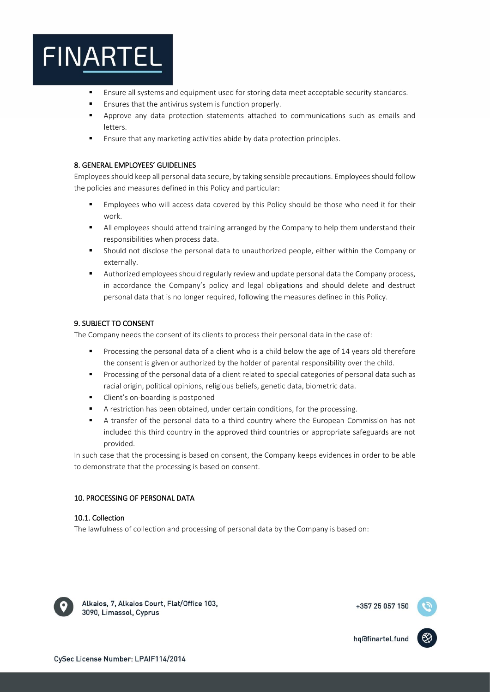- Ensure all systems and equipment used for storing data meet acceptable security standards.
- **Ensures that the antivirus system is function properly.**
- Approve any data protection statements attached to communications such as emails and letters.
- Ensure that any marketing activities abide by data protection principles.

# <span id="page-7-0"></span>8. GENERAL EMPLOYEES' GUIDELINES

Employees should keep all personal data secure, by taking sensible precautions. Employees should follow the policies and measures defined in this Policy and particular:

- Employees who will access data covered by this Policy should be those who need it for their work.
- All employees should attend training arranged by the Company to help them understand their responsibilities when process data.
- Should not disclose the personal data to unauthorized people, either within the Company or externally.
- Authorized employees should regularly review and update personal data the Company process, in accordance the Company's policy and legal obligations and should delete and destruct personal data that is no longer required, following the measures defined in this Policy.

# <span id="page-7-1"></span>9. SUBJECT TO CONSENT

The Company needs the consent of its clients to process their personal data in the case of:

- Processing the personal data of a client who is a child below the age of 14 years old therefore the consent is given or authorized by the holder of parental responsibility over the child.
- Processing of the personal data of a client related to special categories of personal data such as racial origin, political opinions, religious beliefs, genetic data, biometric data.
- Client's on-boarding is postponed
- A restriction has been obtained, under certain conditions, for the processing.
- A transfer of the personal data to a third country where the European Commission has not included this third country in the approved third countries or appropriate safeguards are not provided.

In such case that the processing is based on consent, the Company keeps evidences in order to be able to demonstrate that the processing is based on consent.

# <span id="page-7-2"></span>10. PROCESSING OF PERSONAL DATA

# <span id="page-7-3"></span>10.1. Collection

The lawfulness of collection and processing of personal data by the Company is based on:



Alkaios, 7, Alkaios Court, Flat/Office 103, 3090, Limassol, Cyprus

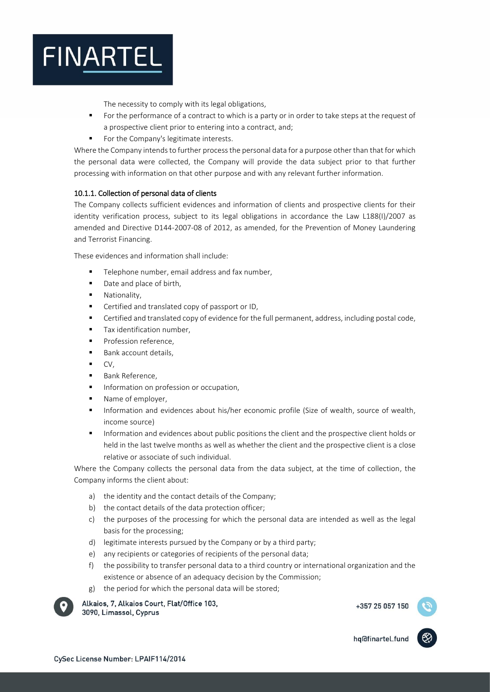

The necessity to comply with its legal obligations,

- For the performance of a contract to which is a party or in order to take steps at the request of a prospective client prior to entering into a contract, and;
- For the Company's legitimate interests.

Where the Company intends to further process the personal data for a purpose other than that for which the personal data were collected, the Company will provide the data subject prior to that further processing with information on that other purpose and with any relevant further information.

# <span id="page-8-0"></span>10.1.1. Collection of personal data of clients

The Company collects sufficient evidences and information of clients and prospective clients for their identity verification process, subject to its legal obligations in accordance the Law L188(I)/2007 as amended and Directive D144-2007-08 of 2012, as amended, for the Prevention of Money Laundering and Terrorist Financing.

These evidences and information shall include:

- Telephone number, email address and fax number,
- Date and place of birth,
- **Nationality.**
- Certified and translated copy of passport or ID,
- Certified and translated copy of evidence for the full permanent, address, including postal code,
- Tax identification number,
- **Profession reference.**
- **Bank account details,**
- CV,
- Bank Reference,
- Information on profession or occupation,
- Name of employer,
- Information and evidences about his/her economic profile (Size of wealth, source of wealth, income source)
- Information and evidences about public positions the client and the prospective client holds or held in the last twelve months as well as whether the client and the prospective client is a close relative or associate of such individual.

Where the Company collects the personal data from the data subject, at the time of collection, the Company informs the client about:

- a) the identity and the contact details of the Company;
- b) the contact details of the data protection officer;
- c) the purposes of the processing for which the personal data are intended as well as the legal basis for the processing;
- d) legitimate interests pursued by the Company or by a third party;
- e) any recipients or categories of recipients of the personal data;
- f) the possibility to transfer personal data to a third country or international organization and the existence or absence of an adequacy decision by the Commission;
- g) the period for which the personal data will be stored;



Alkaios, 7, Alkaios Court, Flat/Office 103, 3090, Limassol, Cyprus

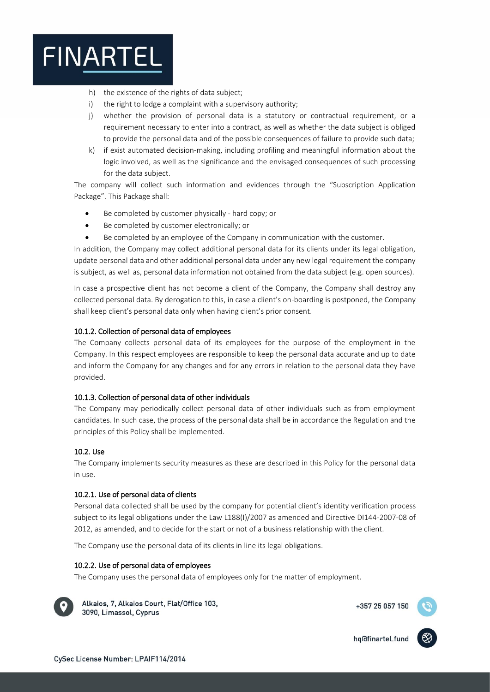

- h) the existence of the rights of data subject;
- i) the right to lodge a complaint with a supervisory authority;
- j) whether the provision of personal data is a statutory or contractual requirement, or a requirement necessary to enter into a contract, as well as whether the data subject is obliged to provide the personal data and of the possible consequences of failure to provide such data;
- k) if exist automated decision-making, including profiling and meaningful information about the logic involved, as well as the significance and the envisaged consequences of such processing for the data subject.

The company will collect such information and evidences through the "Subscription Application Package". This Package shall:

- Be completed by customer physically hard copy; or
- Be completed by customer electronically; or
- Be completed by an employee of the Company in communication with the customer.

In addition, the Company may collect additional personal data for its clients under its legal obligation, update personal data and other additional personal data under any new legal requirement the company is subject, as well as, personal data information not obtained from the data subject (e.g. open sources).

In case a prospective client has not become a client of the Company, the Company shall destroy any collected personal data. By derogation to this, in case a client's on-boarding is postponed, the Company shall keep client's personal data only when having client's prior consent.

# <span id="page-9-0"></span>10.1.2. Collection of personal data of employees

The Company collects personal data of its employees for the purpose of the employment in the Company. In this respect employees are responsible to keep the personal data accurate and up to date and inform the Company for any changes and for any errors in relation to the personal data they have provided.

### <span id="page-9-1"></span>10.1.3. Collection of personal data of other individuals

The Company may periodically collect personal data of other individuals such as from employment candidates. In such case, the process of the personal data shall be in accordance the Regulation and the principles of this Policy shall be implemented.

### <span id="page-9-2"></span>10.2. Use

The Company implements security measures as these are described in this Policy for the personal data in use.

### <span id="page-9-3"></span>10.2.1. Use of personal data of clients

Personal data collected shall be used by the company for potential client's identity verification process subject to its legal obligations under the Law L188(I)/2007 as amended and Directive DI144-2007-08 of 2012, as amended, and to decide for the start or not of a business relationship with the client.

The Company use the personal data of its clients in line its legal obligations.

### <span id="page-9-4"></span>10.2.2. Use of personal data of employees

The Company uses the personal data of employees only for the matter of employment.



Alkaios, 7, Alkaios Court, Flat/Office 103, 3090, Limassol, Cyprus

+357 25 057 150

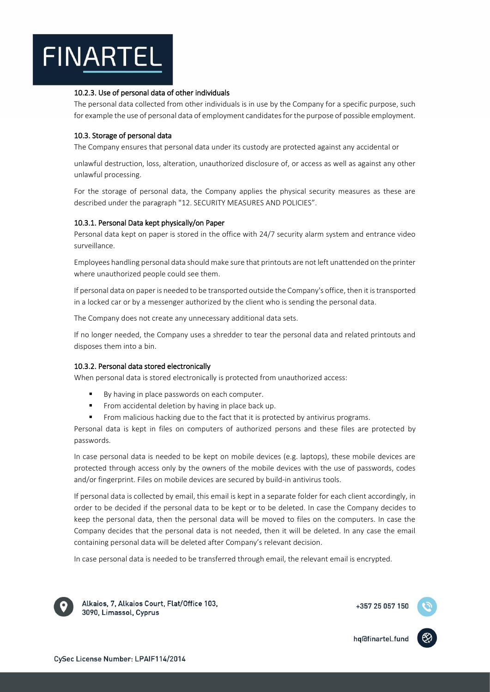# <span id="page-10-0"></span>10.2.3. Use of personal data of other individuals

The personal data collected from other individuals is in use by the Company for a specific purpose, such for example the use of personal data of employment candidates for the purpose of possible employment.

# <span id="page-10-1"></span>10.3. Storage of personal data

The Company ensures that personal data under its custody are protected against any accidental or

unlawful destruction, loss, alteration, unauthorized disclosure of, or access as well as against any other unlawful processing.

For the storage of personal data, the Company applies the physical security measures as these are described under the paragraph "12. SECURITY MEASURES AND POLICIES".

### <span id="page-10-2"></span>10.3.1. Personal Data kept physically/on Paper

Personal data kept on paper is stored in the office with 24/7 security alarm system and entrance video surveillance.

Employees handling personal data should make sure that printouts are not left unattended on the printer where unauthorized people could see them.

If personal data on paper is needed to be transported outside the Company's office, then it is transported in a locked car or by a messenger authorized by the client who is sending the personal data.

The Company does not create any unnecessary additional data sets.

If no longer needed, the Company uses a shredder to tear the personal data and related printouts and disposes them into a bin.

### <span id="page-10-3"></span>10.3.2. Personal data stored electronically

When personal data is stored electronically is protected from unauthorized access:

- By having in place passwords on each computer.
- From accidental deletion by having in place back up.
- From malicious hacking due to the fact that it is protected by antivirus programs.

Personal data is kept in files on computers of authorized persons and these files are protected by passwords.

In case personal data is needed to be kept on mobile devices (e.g. laptops), these mobile devices are protected through access only by the owners of the mobile devices with the use of passwords, codes and/or fingerprint. Files on mobile devices are secured by build-in antivirus tools.

If personal data is collected by email, this email is kept in a separate folder for each client accordingly, in order to be decided if the personal data to be kept or to be deleted. In case the Company decides to keep the personal data, then the personal data will be moved to files on the computers. In case the Company decides that the personal data is not needed, then it will be deleted. In any case the email containing personal data will be deleted after Company's relevant decision.

In case personal data is needed to be transferred through email, the relevant email is encrypted.



Alkaios, 7, Alkaios Court, Flat/Office 103, 3090, Limassol, Cyprus

+357 25 057 150

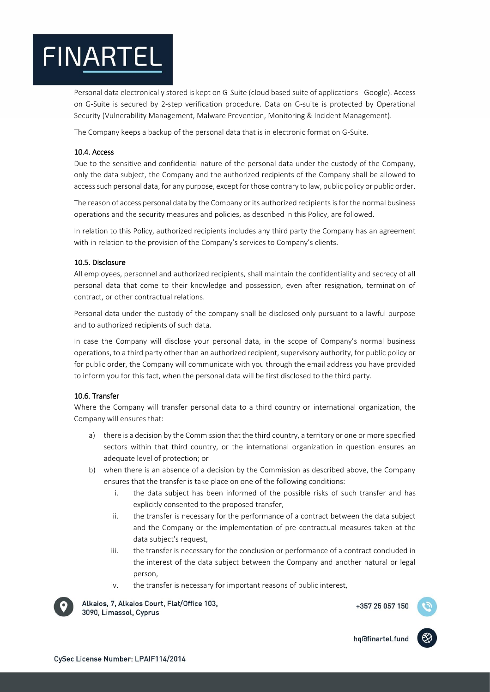Personal data electronically stored is kept on G-Suite (cloud based suite of applications - Google). Access on G-Suite is secured by 2-step verification procedure. Data on G-suite is protected by Operational Security (Vulnerability Management, Malware Prevention, Monitoring & Incident Management).

The Company keeps a backup of the personal data that is in electronic format on G-Suite.

# <span id="page-11-0"></span>10.4. Access

Due to the sensitive and confidential nature of the personal data under the custody of the Company, only the data subject, the Company and the authorized recipients of the Company shall be allowed to access such personal data, for any purpose, except for those contrary to law, public policy or public order.

The reason of access personal data by the Company or its authorized recipients is for the normal business operations and the security measures and policies, as described in this Policy, are followed.

In relation to this Policy, authorized recipients includes any third party the Company has an agreement with in relation to the provision of the Company's services to Company's clients.

### <span id="page-11-1"></span>10.5. Disclosure

All employees, personnel and authorized recipients, shall maintain the confidentiality and secrecy of all personal data that come to their knowledge and possession, even after resignation, termination of contract, or other contractual relations.

Personal data under the custody of the company shall be disclosed only pursuant to a lawful purpose and to authorized recipients of such data.

In case the Company will disclose your personal data, in the scope of Company's normal business operations, to a third party other than an authorized recipient, supervisory authority, for public policy or for public order, the Company will communicate with you through the email address you have provided to inform you for this fact, when the personal data will be first disclosed to the third party.

# <span id="page-11-2"></span>10.6. Transfer

Where the Company will transfer personal data to a third country or international organization, the Company will ensures that:

- a) there is a decision by the Commission that the third country, a territory or one or more specified sectors within that third country, or the international organization in question ensures an adequate level of protection; or
- b) when there is an absence of a decision by the Commission as described above, the Company ensures that the transfer is take place on one of the following conditions:
	- i. the data subject has been informed of the possible risks of such transfer and has explicitly consented to the proposed transfer,
	- ii. the transfer is necessary for the performance of a contract between the data subject and the Company or the implementation of pre-contractual measures taken at the data subject's request,
	- iii. the transfer is necessary for the conclusion or performance of a contract concluded in the interest of the data subject between the Company and another natural or legal person,
	- iv. the transfer is necessary for important reasons of public interest,



Alkaios, 7, Alkaios Court, Flat/Office 103, 3090, Limassol, Cyprus

+357 25 057 150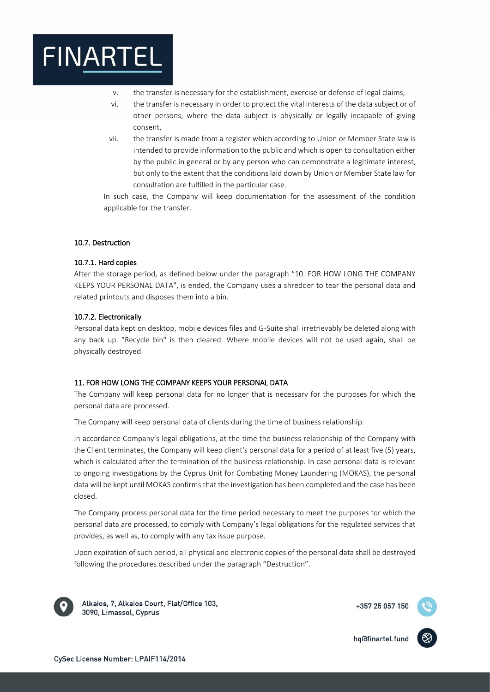

- v. the transfer is necessary for the establishment, exercise or defense of legal claims,
- vi. the transfer is necessary in order to protect the vital interests of the data subject or of other persons, where the data subject is physically or legally incapable of giving consent,
- vii. the transfer is made from a register which according to Union or Member State law is intended to provide information to the public and which is open to consultation either by the public in general or by any person who can demonstrate a legitimate interest, but only to the extent that the conditions laid down by Union or Member State law for consultation are fulfilled in the particular case.

In such case, the Company will keep documentation for the assessment of the condition applicable for the transfer.

#### <span id="page-12-1"></span><span id="page-12-0"></span>10.7. Destruction

#### 10.7.1. Hard copies

After the storage period, as defined below under the paragraph "10. FOR HOW LONG THE COMPANY KEEPS YOUR PERSONAL DATA", is ended, the Company uses a shredder to tear the personal data and related printouts and disposes them into a bin.

#### <span id="page-12-2"></span>10.7.2. Electronically

Personal data kept on desktop, mobile devices files and G-Suite shall irretrievably be deleted along with any back up. "Recycle bin" is then cleared. Where mobile devices will not be used again, shall be physically destroyed.

### <span id="page-12-3"></span>11. FOR HOW LONG THE COMPANY KEEPS YOUR PERSONAL DATA

The Company will keep personal data for no longer that is necessary for the purposes for which the personal data are processed.

The Company will keep personal data of clients during the time of business relationship.

In accordance Company's legal obligations, at the time the business relationship of the Company with the Client terminates, the Company will keep client's personal data for a period of at least five (5) years, which is calculated after the termination of the business relationship. In case personal data is relevant to ongoing investigations by the Cyprus Unit for Combating Money Laundering (MOKAS), the personal data will be kept until MOKAS confirms that the investigation has been completed and the case has been closed.

The Company process personal data for the time period necessary to meet the purposes for which the personal data are processed, to comply with Company's legal obligations for the regulated services that provides, as well as, to comply with any tax issue purpose.

Upon expiration of such period, all physical and electronic copies of the personal data shall be destroyed following the procedures described under the paragraph "Destruction".



Alkaios, 7, Alkaios Court, Flat/Office 103, 3090, Limassol, Cyprus

+357 25 057 150

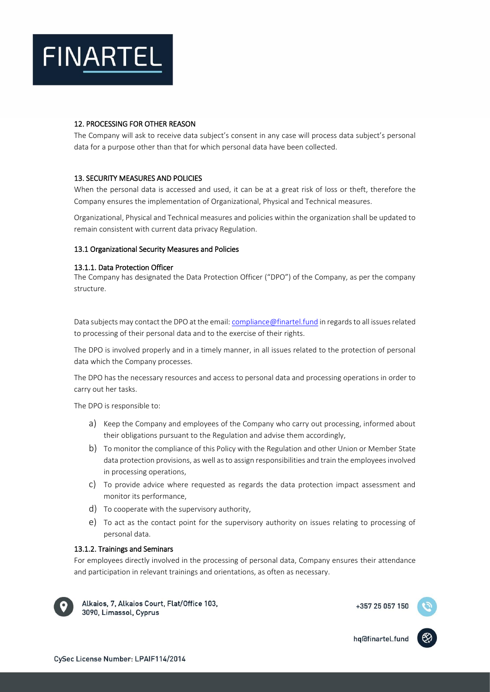

## <span id="page-13-0"></span>12. PROCESSING FOR OTHER REASON

The Company will ask to receive data subject's consent in any case will process data subject's personal data for a purpose other than that for which personal data have been collected.

# <span id="page-13-1"></span>13. SECURITY MEASURES AND POLICIES

When the personal data is accessed and used, it can be at a great risk of loss or theft, therefore the Company ensures the implementation of Organizational, Physical and Technical measures.

Organizational, Physical and Technical measures and policies within the organization shall be updated to remain consistent with current data privacy Regulation.

### <span id="page-13-3"></span><span id="page-13-2"></span>13.1 Organizational Security Measures and Policies

#### 13.1.1. Data Protection Officer

The Company has designated the Data Protection Officer ("DPO") of the Company, as per the company structure.

Data subjects may contact the DPO at the email: [compliance@finartel.fund](mailto:compliance@finartel.fund) in regards to all issues related to processing of their personal data and to the exercise of their rights.

The DPO is involved properly and in a timely manner, in all issues related to the protection of personal data which the Company processes.

The DPO has the necessary resources and access to personal data and processing operations in order to carry out her tasks.

The DPO is responsible to:

- a) Keep the Company and employees of the Company who carry out processing, informed about their obligations pursuant to the Regulation and advise them accordingly,
- b) To monitor the compliance of this Policy with the Regulation and other Union or Member State data protection provisions, as well as to assign responsibilities and train the employees involved in processing operations,
- c) To provide advice where requested as regards the data protection impact assessment and monitor its performance,
- d) To cooperate with the supervisory authority,
- e) To act as the contact point for the supervisory authority on issues relating to processing of personal data.

### <span id="page-13-4"></span>13.1.2. Trainings and Seminars

For employees directly involved in the processing of personal data, Company ensures their attendance and participation in relevant trainings and orientations, as often as necessary.



Alkaios, 7, Alkaios Court, Flat/Office 103, 3090, Limassol, Cyprus

+357 25 057 150

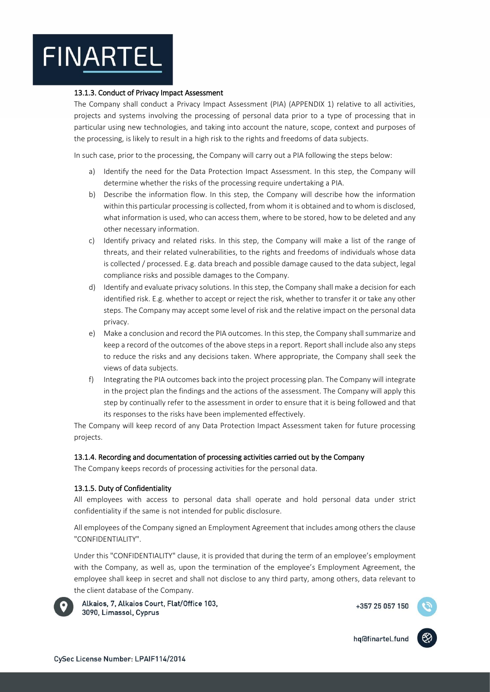# <span id="page-14-0"></span>13.1.3. Conduct of Privacy Impact Assessment

The Company shall conduct a Privacy Impact Assessment (PIA) (APPENDIX 1) relative to all activities, projects and systems involving the processing of personal data prior to a type of processing that in particular using new technologies, and taking into account the nature, scope, context and purposes of the processing, is likely to result in a high risk to the rights and freedoms of data subjects.

In such case, prior to the processing, the Company will carry out a PIA following the steps below:

- a) Identify the need for the Data Protection Impact Assessment. In this step, the Company will determine whether the risks of the processing require undertaking a PIA.
- b) Describe the information flow. In this step, the Company will describe how the information within this particular processing is collected, from whom it is obtained and to whom is disclosed, what information is used, who can access them, where to be stored, how to be deleted and any other necessary information.
- c) Identify privacy and related risks. In this step, the Company will make a list of the range of threats, and their related vulnerabilities, to the rights and freedoms of individuals whose data is collected / processed. E.g. data breach and possible damage caused to the data subject, legal compliance risks and possible damages to the Company.
- d) Identify and evaluate privacy solutions. In this step, the Company shall make a decision for each identified risk. E.g. whether to accept or reject the risk, whether to transfer it or take any other steps. The Company may accept some level of risk and the relative impact on the personal data privacy.
- e) Make a conclusion and record the PIA outcomes. In this step, the Company shall summarize and keep a record of the outcomes of the above steps in a report. Report shall include also any steps to reduce the risks and any decisions taken. Where appropriate, the Company shall seek the views of data subjects.
- f) Integrating the PIA outcomes back into the project processing plan. The Company will integrate in the project plan the findings and the actions of the assessment. The Company will apply this step by continually refer to the assessment in order to ensure that it is being followed and that its responses to the risks have been implemented effectively.

The Company will keep record of any Data Protection Impact Assessment taken for future processing projects.

### <span id="page-14-1"></span>13.1.4. Recording and documentation of processing activities carried out by the Company

The Company keeps records of processing activities for the personal data.

# <span id="page-14-2"></span>13.1.5. Duty of Confidentiality

All employees with access to personal data shall operate and hold personal data under strict confidentiality if the same is not intended for public disclosure.

All employees of the Company signed an Employment Agreement that includes among others the clause "CONFIDENTIALITY".

Under this "CONFIDENTIALITY" clause, it is provided that during the term of an employee's employment with the Company, as well as, upon the termination of the employee's Employment Agreement, the employee shall keep in secret and shall not disclose to any third party, among others, data relevant to the client database of the Company.



Alkaios, 7, Alkaios Court, Flat/Office 103, 3090, Limassol, Cyprus

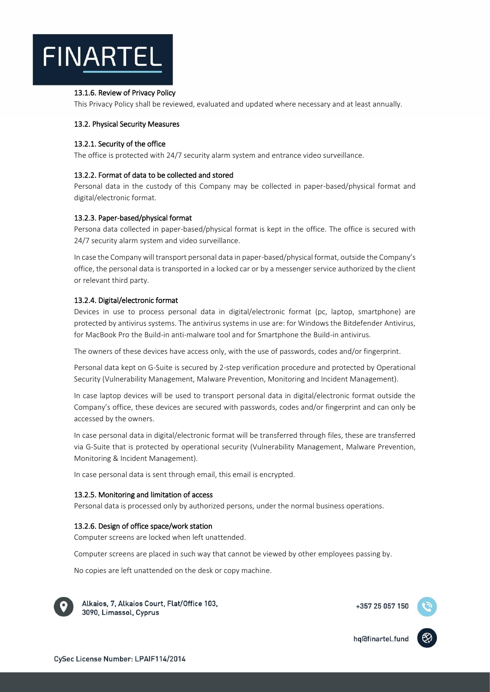

## <span id="page-15-0"></span>13.1.6. Review of Privacy Policy

This Privacy Policy shall be reviewed, evaluated and updated where necessary and at least annually.

### <span id="page-15-1"></span>13.2. Physical Security Measures

### <span id="page-15-2"></span>13.2.1. Security of the office

The office is protected with 24/7 security alarm system and entrance video surveillance.

## <span id="page-15-3"></span>13.2.2. Format of data to be collected and stored

Personal data in the custody of this Company may be collected in paper-based/physical format and digital/electronic format.

### <span id="page-15-4"></span>13.2.3. Paper-based/physical format

Persona data collected in paper-based/physical format is kept in the office. The office is secured with 24/7 security alarm system and video surveillance.

In case the Company will transport personal data in paper-based/physical format, outside the Company's office, the personal data is transported in a locked car or by a messenger service authorized by the client or relevant third party.

# <span id="page-15-5"></span>13.2.4. Digital/electronic format

Devices in use to process personal data in digital/electronic format (pc, laptop, smartphone) are protected by antivirus systems. The antivirus systems in use are: for Windows the Bitdefender Antivirus, for MacBook Pro the Build-in anti-malware tool and for Smartphone the Build-in antivirus.

The owners of these devices have access only, with the use of passwords, codes and/or fingerprint.

Personal data kept on G-Suite is secured by 2-step verification procedure and protected by Operational Security (Vulnerability Management, Malware Prevention, Monitoring and Incident Management).

In case laptop devices will be used to transport personal data in digital/electronic format outside the Company's office, these devices are secured with passwords, codes and/or fingerprint and can only be accessed by the owners.

In case personal data in digital/electronic format will be transferred through files, these are transferred via G-Suite that is protected by operational security (Vulnerability Management, Malware Prevention, Monitoring & Incident Management).

In case personal data is sent through email, this email is encrypted.

### <span id="page-15-6"></span>13.2.5. Monitoring and limitation of access

Personal data is processed only by authorized persons, under the normal business operations.

# <span id="page-15-7"></span>13.2.6. Design of office space/work station

Computer screens are locked when left unattended.

Computer screens are placed in such way that cannot be viewed by other employees passing by.

No copies are left unattended on the desk or copy machine.



Alkaios, 7, Alkaios Court, Flat/Office 103, 3090, Limassol, Cyprus

+357 25 057 150

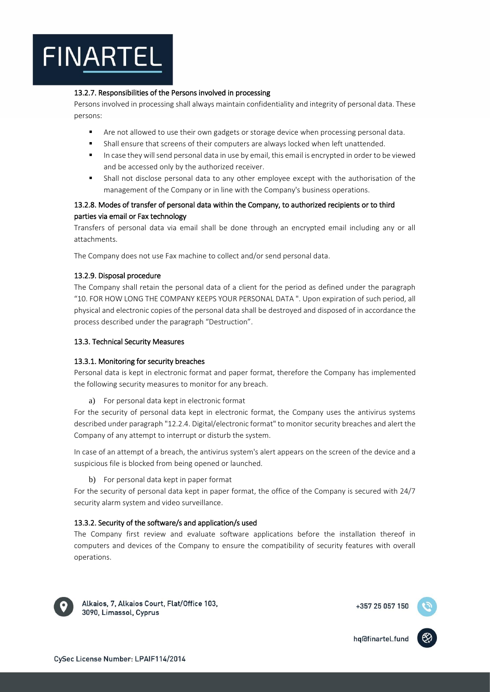# <span id="page-16-0"></span>13.2.7. Responsibilities of the Persons involved in processing

Persons involved in processing shall always maintain confidentiality and integrity of personal data. These persons:

- Are not allowed to use their own gadgets or storage device when processing personal data.
- Shall ensure that screens of their computers are always locked when left unattended.
- In case they will send personal data in use by email, this email is encrypted in order to be viewed and be accessed only by the authorized receiver.
- Shall not disclose personal data to any other employee except with the authorisation of the management of the Company or in line with the Company's business operations.

# <span id="page-16-1"></span>13.2.8. Modes of transfer of personal data within the Company, to authorized recipients or to third parties via email or Fax technology

Transfers of personal data via email shall be done through an encrypted email including any or all attachments.

The Company does not use Fax machine to collect and/or send personal data.

# <span id="page-16-2"></span>13.2.9. Disposal procedure

The Company shall retain the personal data of a client for the period as defined under the paragraph "10. FOR HOW LONG THE COMPANY KEEPS YOUR PERSONAL DATA ". Upon expiration of such period, all physical and electronic copies of the personal data shall be destroyed and disposed of in accordance the process described under the paragraph "Destruction".

# <span id="page-16-4"></span><span id="page-16-3"></span>13.3. Technical Security Measures

# 13.3.1. Monitoring for security breaches

Personal data is kept in electronic format and paper format, therefore the Company has implemented the following security measures to monitor for any breach.

a) For personal data kept in electronic format

For the security of personal data kept in electronic format, the Company uses the antivirus systems described under paragraph "12.2.4. Digital/electronic format" to monitor security breaches and alert the Company of any attempt to interrupt or disturb the system.

In case of an attempt of a breach, the antivirus system's alert appears on the screen of the device and a suspicious file is blocked from being opened or launched.

### b) For personal data kept in paper format

For the security of personal data kept in paper format, the office of the Company is secured with 24/7 security alarm system and video surveillance.

# <span id="page-16-5"></span>13.3.2. Security of the software/s and application/s used

The Company first review and evaluate software applications before the installation thereof in computers and devices of the Company to ensure the compatibility of security features with overall operations.



Alkaios, 7, Alkaios Court, Flat/Office 103, 3090, Limassol, Cyprus

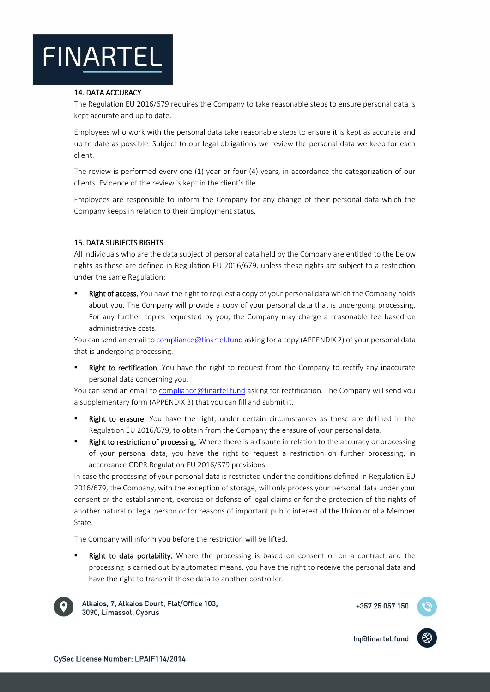

#### <span id="page-17-0"></span>14. DATA ACCURACY

The Regulation EU 2016/679 requires the Company to take reasonable steps to ensure personal data is kept accurate and up to date.

Employees who work with the personal data take reasonable steps to ensure it is kept as accurate and up to date as possible. Subject to our legal obligations we review the personal data we keep for each client.

The review is performed every one (1) year or four (4) years, in accordance the categorization of our clients. Evidence of the review is kept in the client's file.

Employees are responsible to inform the Company for any change of their personal data which the Company keeps in relation to their Employment status.

### <span id="page-17-1"></span>15. DATA SUBJECTS RIGHTS

All individuals who are the data subject of personal data held by the Company are entitled to the below rights as these are defined in Regulation EU 2016/679, unless these rights are subject to a restriction under the same Regulation:

Right of access. You have the right to request a copy of your personal data which the Company holds about you. The Company will provide a copy of your personal data that is undergoing processing. For any further copies requested by you, the Company may charge a reasonable fee based on administrative costs.

You can send an email t[o compliance@finartel.fund](mailto:compliance@finartel.fund) asking for a copy (APPENDIX 2) of your personal data that is undergoing processing.

Right to rectification. You have the right to request from the Company to rectify any inaccurate personal data concerning you.

You can send an email to [compliance@finartel.fund](mailto:compliance@finartel.fund) asking for rectification. The Company will send you a supplementary form (APPENDIX 3) that you can fill and submit it.

- **Right to erasure.** You have the right, under certain circumstances as these are defined in the Regulation EU 2016/679, to obtain from the Company the erasure of your personal data.
- Right to restriction of processing. Where there is a dispute in relation to the accuracy or processing of your personal data, you have the right to request a restriction on further processing, in accordance GDPR Regulation EU 2016/679 provisions.

In case the processing of your personal data is restricted under the conditions defined in Regulation EU 2016/679, the Company, with the exception of storage, will only process your personal data under your consent or the establishment, exercise or defense of legal claims or for the protection of the rights of another natural or legal person or for reasons of important public interest of the Union or of a Member State.

The Company will inform you before the restriction will be lifted.

Right to data portability. Where the processing is based on consent or on a contract and the processing is carried out by automated means, you have the right to receive the personal data and have the right to transmit those data to another controller.



Alkaios, 7, Alkaios Court, Flat/Office 103, 3090, Limassol, Cyprus

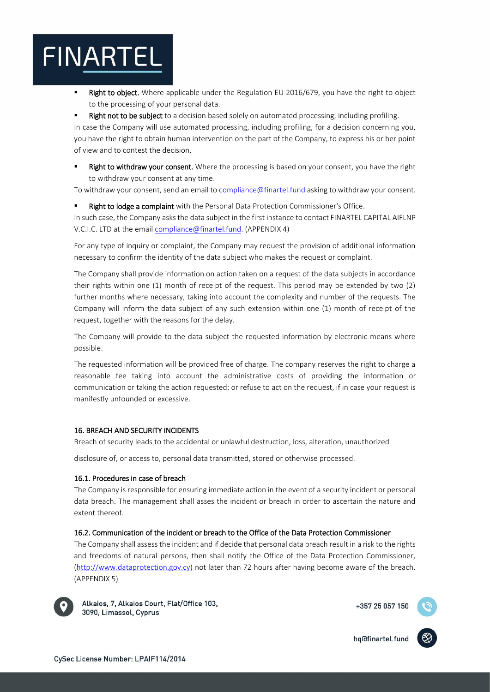Right to object. Where applicable under the Regulation EU 2016/679, you have the right to object to the processing of your personal data.

Right not to be subject to a decision based solely on automated processing, including profiling. In case the Company will use automated processing, including profiling, for a decision concerning you, you have the right to obtain human intervention on the part of the Company, to express his or her point of view and to contest the decision.

Right to withdraw your consent. Where the processing is based on your consent, you have the right to withdraw your consent at any time.

To withdraw your consent, send an email to [compliance@finartel.fund](mailto:compliance@finartel.fund) asking to withdraw your consent.

Right to lodge a complaint with the Personal Data Protection Commissioner's Office.

In such case, the Company asks the data subject in the first instance to contact FINARTEL CAPITAL AIFLNP V.C.I.C. LTD at the email [compliance@finartel.fund.](mailto:compliance@finartel.fund) (APPENDIX 4)

For any type of inquiry or complaint, the Company may request the provision of additional information necessary to confirm the identity of the data subject who makes the request or complaint.

The Company shall provide information on action taken on a request of the data subjects in accordance their rights within one (1) month of receipt of the request. This period may be extended by two (2) further months where necessary, taking into account the complexity and number of the requests. The Company will inform the data subject of any such extension within one (1) month of receipt of the request, together with the reasons for the delay.

The Company will provide to the data subject the requested information by electronic means where possible.

The requested information will be provided free of charge. The company reserves the right to charge a reasonable fee taking into account the administrative costs of providing the information or communication or taking the action requested; or refuse to act on the request, if in case your request is manifestly unfounded or excessive.

# <span id="page-18-0"></span>16. BREACH AND SECURITY INCIDENTS

Breach of security leads to the accidental or unlawful destruction, loss, alteration, unauthorized

disclosure of, or access to, personal data transmitted, stored or otherwise processed.

# <span id="page-18-1"></span>16.1. Procedures in case of breach

The Company is responsible for ensuring immediate action in the event of a security incident or personal data breach. The management shall asses the incident or breach in order to ascertain the nature and extent thereof.

# <span id="page-18-2"></span>16.2. Communication of the incident or breach to the Office of the Data Protection Commissioner

The Company shall assess the incident and if decide that personal data breach result in a risk to the rights and freedoms of natural persons, then shall notify the Office of the Data Protection Commissioner, [\(http://www.dataprotection.gov.cy\)](http://www.dataprotection.gov.cy/) not later than 72 hours after having become aware of the breach. (APPENDIX 5)



Alkaios, 7, Alkaios Court, Flat/Office 103, 3090, Limassol, Cyprus

+357 25 057 150

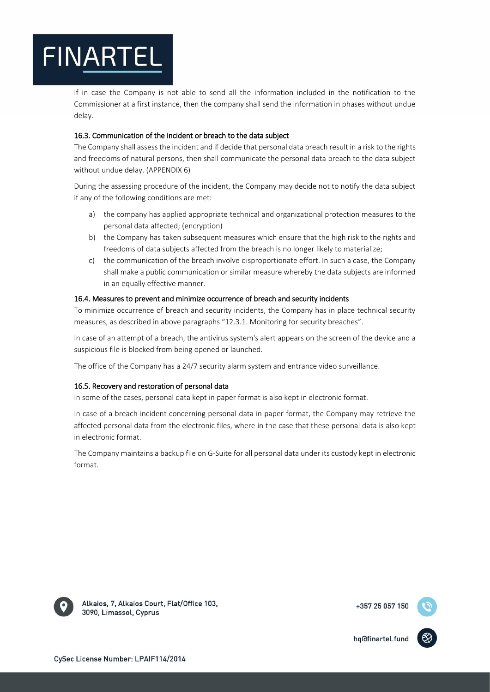If in case the Company is not able to send all the information included in the notification to the Commissioner at a first instance, then the company shall send the information in phases without undue delay.

# <span id="page-19-0"></span>16.3. Communication of the incident or breach to the data subject

The Company shall assess the incident and if decide that personal data breach result in a risk to the rights and freedoms of natural persons, then shall communicate the personal data breach to the data subject without undue delay. (APPENDIX 6)

During the assessing procedure of the incident, the Company may decide not to notify the data subject if any of the following conditions are met:

- a) the company has applied appropriate technical and organizational protection measures to the personal data affected; (encryption)
- b) the Company has taken subsequent measures which ensure that the high risk to the rights and freedoms of data subjects affected from the breach is no longer likely to materialize;
- c) the communication of the breach involve disproportionate effort. In such a case, the Company shall make a public communication or similar measure whereby the data subjects are informed in an equally effective manner.

# <span id="page-19-1"></span>16.4. Measures to prevent and minimize occurrence of breach and security incidents

To minimize occurrence of breach and security incidents, the Company has in place technical security measures, as described in above paragraphs "12.3.1. Monitoring for security breaches".

In case of an attempt of a breach, the antivirus system's alert appears on the screen of the device and a suspicious file is blocked from being opened or launched.

The office of the Company has a 24/7 security alarm system and entrance video surveillance.

# <span id="page-19-2"></span>16.5. Recovery and restoration of personal data

In some of the cases, personal data kept in paper format is also kept in electronic format.

In case of a breach incident concerning personal data in paper format, the Company may retrieve the affected personal data from the electronic files, where in the case that these personal data is also kept in electronic format.

The Company maintains a backup file on G-Suite for all personal data under its custody kept in electronic format.



Alkaios, 7, Alkaios Court, Flat/Office 103, 3090, Limassol, Cyprus

+357 25 057 150

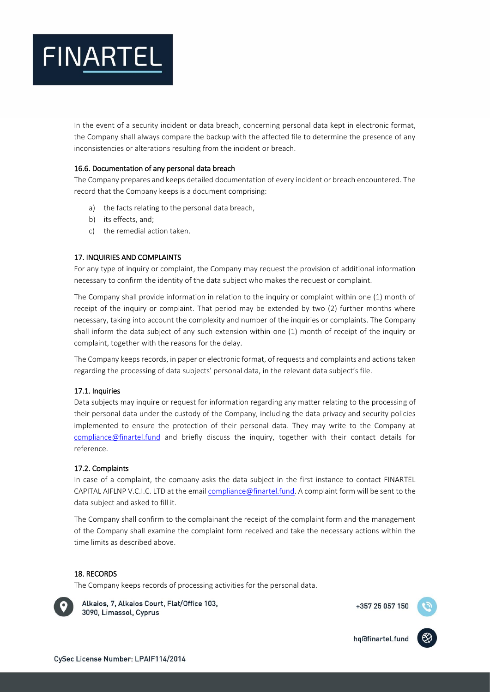

In the event of a security incident or data breach, concerning personal data kept in electronic format, the Company shall always compare the backup with the affected file to determine the presence of any inconsistencies or alterations resulting from the incident or breach.

### <span id="page-20-0"></span>16.6. Documentation of any personal data breach

The Company prepares and keeps detailed documentation of every incident or breach encountered. The record that the Company keeps is a document comprising:

- a) the facts relating to the personal data breach,
- b) its effects, and;
- c) the remedial action taken.

### <span id="page-20-1"></span>17. INQUIRIES AND COMPLAINTS

For any type of inquiry or complaint, the Company may request the provision of additional information necessary to confirm the identity of the data subject who makes the request or complaint.

The Company shall provide information in relation to the inquiry or complaint within one (1) month of receipt of the inquiry or complaint. That period may be extended by two (2) further months where necessary, taking into account the complexity and number of the inquiries or complaints. The Company shall inform the data subject of any such extension within one (1) month of receipt of the inquiry or complaint, together with the reasons for the delay.

The Company keeps records, in paper or electronic format, of requests and complaints and actions taken regarding the processing of data subjects' personal data, in the relevant data subject's file.

#### <span id="page-20-2"></span>17.1. Inquiries

Data subjects may inquire or request for information regarding any matter relating to the processing of their personal data under the custody of the Company, including the data privacy and security policies implemented to ensure the protection of their personal data. They may write to the Company at complianc[e@finartel.fund](mailto:ns@finartel.fund) and briefly discuss the inquiry, together with their contact details for reference.

## <span id="page-20-3"></span>17.2. Complaints

In case of a complaint, the company asks the data subject in the first instance to contact FINARTEL CAPITAL AIFLNP V.C.I.C. LTD at the email [compliance@finartel.fund.](mailto:compliance@finartel.fund) A complaint form will be sent to the data subject and asked to fill it.

The Company shall confirm to the complainant the receipt of the complaint form and the management of the Company shall examine the complaint form received and take the necessary actions within the time limits as described above.

#### <span id="page-20-4"></span>18. RECORDS

The Company keeps records of processing activities for the personal data.



Alkaios, 7, Alkaios Court, Flat/Office 103, 3090, Limassol, Cyprus

+357 25 057 150

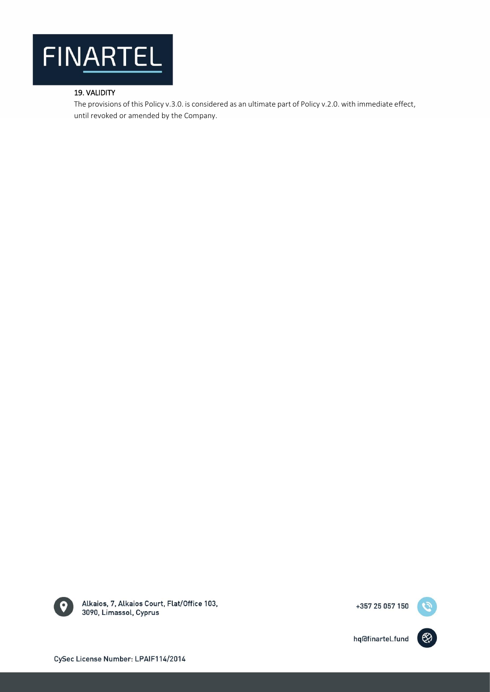

# <span id="page-21-0"></span>19. VALIDITY

The provisions of this Policy v.3.0. is considered as an ultimate part of Policy v.2.0. with immediate effect, until revoked or amended by the Company.



Alkaios, 7, Alkaios Court, Flat/Office 103, 3090, Limassol, Cyprus

+357 25 057 150

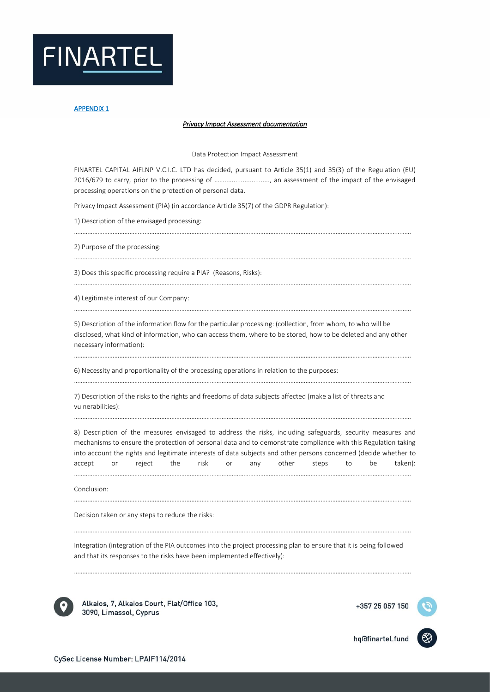

#### *Privacy Impact Assessment documentation*

#### Data Protection Impact Assessment

FINARTEL CAPITAL AIFLNP V.C.I.C. LTD has decided, pursuant to Article 35(1) and 35(3) of the Regulation (EU) 2016/679 to carry, prior to the processing of ……........................., an assessment of the impact of the envisaged processing operations on the protection of personal data.

…………………………………………………………………………………………………………………………………………………………………………………

…………………………………………………………………………………………………………………………………………………………………………………

…………………………………………………………………………………………………………………………………………………………………………………

Privacy Impact Assessment (PIA) (in accordance Article 35(7) of the GDPR Regulation):

1) Description of the envisaged processing:

2) Purpose of the processing:

3) Does this specific processing require a PIA? (Reasons, Risks):

4) Legitimate interest of our Company:

5) Description of the information flow for the particular processing: (collection, from whom, to who will be disclosed, what kind of information, who can access them, where to be stored, how to be deleted and any other necessary information):

…………………………………………………………………………………………………………………………………………………………………………………

6) Necessity and proportionality of the processing operations in relation to the purposes:

…………………………………………………………………………………………………………………………………………………………………………………

7) Description of the risks to the rights and freedoms of data subjects affected (make a list of threats and vulnerabilities):

8) Description of the measures envisaged to address the risks, including safeguards, security measures and mechanisms to ensure the protection of personal data and to demonstrate compliance with this Regulation taking into account the rights and legitimate interests of data subjects and other persons concerned (decide whether to accept or reject the risk or any other steps to be taken):

…………………………………………………………………………………………………………………………………………………………………………………

…………………………………………………………………………………………………………………………………………………………………………………

…………………………………………………………………………………………………………………………………………………………………………………

Conclusion:

Decision taken or any steps to reduce the risks:

…………………………………………………………………………………………………………………………………………………………………………………

Integration (integration of the PIA outcomes into the project processing plan to ensure that it is being followed and that its responses to the risks have been implemented effectively):

…………………………………………………………………………………………………………………………………………………………………………………

…………………………………………………………………………………………………………………………………………………………………………………



Alkaios, 7, Alkaios Court, Flat/Office 103, 3090, Limassol, Cyprus

+357 25 057 150

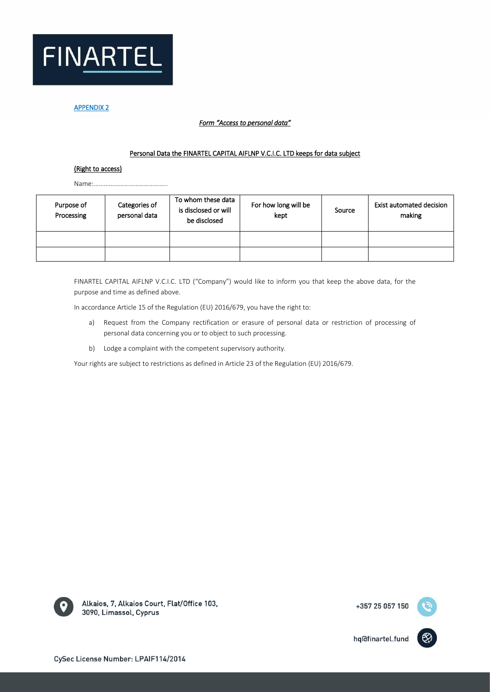

## *Form "Access to personal data"*

#### Personal Data the FINARTEL CAPITAL AIFLNP V.C.I.C. LTD keeps for data subject

#### (Right to access)

Name:……………………………………..

| Purpose of<br>Processing | Categories of<br>personal data | To whom these data<br>is disclosed or will<br>be disclosed | For how long will be<br>kept | Source | Exist automated decision<br>making |
|--------------------------|--------------------------------|------------------------------------------------------------|------------------------------|--------|------------------------------------|
|                          |                                |                                                            |                              |        |                                    |
|                          |                                |                                                            |                              |        |                                    |

FINARTEL CAPITAL AIFLNP V.C.I.C. LTD ("Company") would like to inform you that keep the above data, for the purpose and time as defined above.

In accordance Article 15 of the Regulation (EU) 2016/679, you have the right to:

- a) Request from the Company rectification or erasure of personal data or restriction of processing of personal data concerning you or to object to such processing.
- b) Lodge a complaint with the competent supervisory authority.

Your rights are subject to restrictions as defined in Article 23 of the Regulation (EU) 2016/679.



Alkaios, 7, Alkaios Court, Flat/Office 103, 3090, Limassol, Cyprus

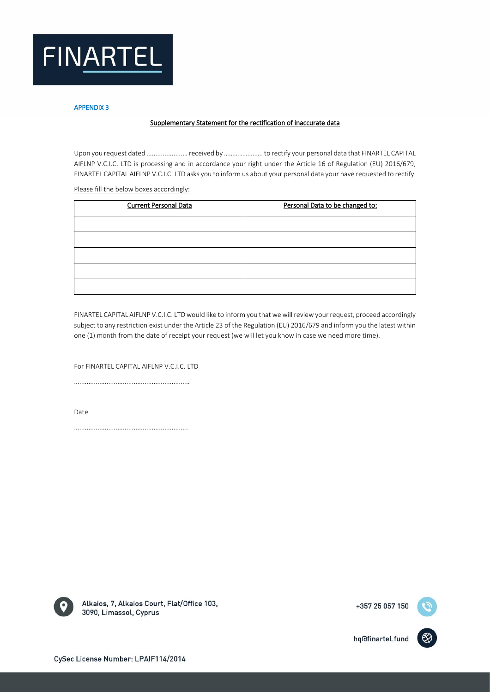

## Supplementary Statement for the rectification of inaccurate data

Upon you request dated ....................… received by ……………….…. to rectify your personal data that FINARTEL CAPITAL AIFLNP V.C.I.C. LTD is processing and in accordance your right under the Article 16 of Regulation (EU) 2016/679, FINARTEL CAPITAL AIFLNP V.C.I.C. LTD asks you to inform us about your personal data your have requested to rectify.

Please fill the below boxes accordingly:

| <b>Current Personal Data</b> | Personal Data to be changed to: |
|------------------------------|---------------------------------|
|                              |                                 |
|                              |                                 |
|                              |                                 |
|                              |                                 |
|                              |                                 |

FINARTEL CAPITAL AIFLNP V.C.I.C. LTD would like to inform you that we will review your request, proceed accordingly subject to any restriction exist under the Article 23 of the Regulation (EU) 2016/679 and inform you the latest within one (1) month from the date of receipt your request (we will let you know in case we need more time).

For FINARTEL CAPITAL AIFLNP V.C.I.C. LTD

................................................................

Date

...............................................................



Alkaios, 7, Alkaios Court, Flat/Office 103, 3090, Limassol, Cyprus

+357 25 057 150

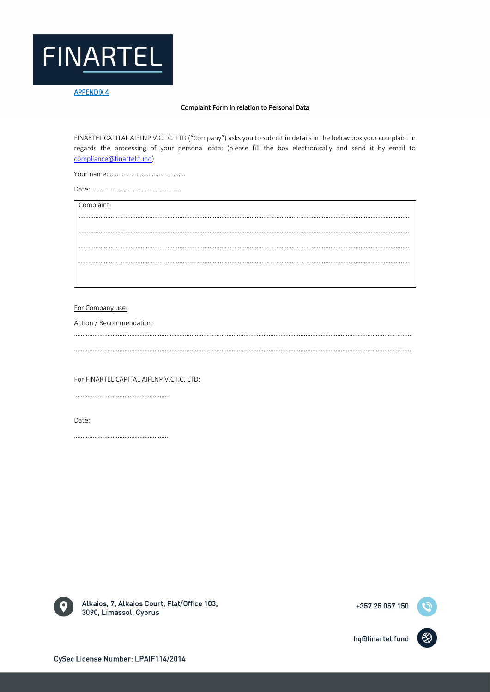

### Complaint Form in relation to Personal Data

FINARTEL CAPITAL AIFLNP V.C.I.C. LTD ("Company") asks you to submit in details in the below box your complaint in regards the processing of your personal data: (please fill the box electronically and send it by email to [compliance@finartel.fund\)](mailto:compliance@finartel.fund)

……………………………………………………………………………………………………………………………………………………………………………… ………………………………………………………………………………………………………………………………………………………………………………

………………………………………………………………………………………………………………………………………………………………………………… …………………………………………………………………………………………………………………………………………………………………………………

……………………………………………………………………………………………………………………………………………………………………………… ………………………………………………………………………………………………………………………………………………………………………………

Your name: ………………………………………

Date: ……………………………………………..

Complaint:

For Company use:

Action / Recommendation:

For FINARTEL CAPITAL AIFLNP V.C.I.C. LTD:

…………………………………………………

…………………………………………………

Date:



Alkaios, 7, Alkaios Court, Flat/Office 103, 3090, Limassol, Cyprus

+357 25 057 150

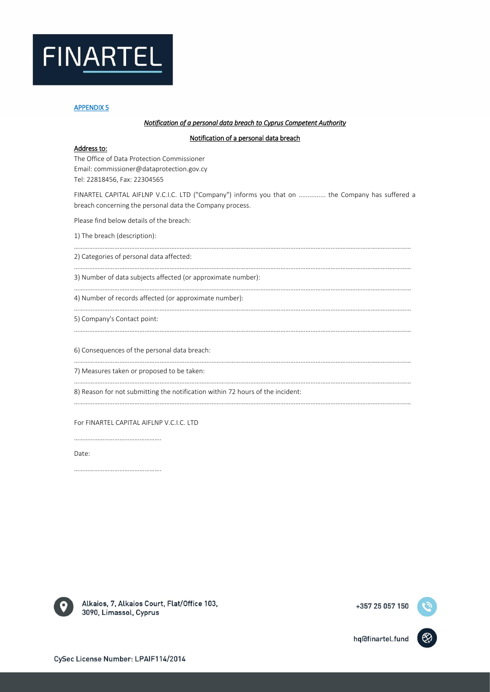

#### *Notification of a personal data breach to Cyprus Competent Authority*

#### Notification of a personal data breach

#### Address to:

The Office of Data Protection Commissioner Email: commissioner@dataprotection.gov.cy Tel: 22818456, Fax: 22304565

FINARTEL CAPITAL AIFLNP V.C.I.C. LTD ("Company") informs you that on ............... the Company has suffered a breach concerning the personal data the Company process.

…………………………………………………………………………………………………………………………………………………………………………………

…………………………………………………………………………………………………………………………………………………………………………………

…………………………………………………………………………………………………………………………………………………………………………………

…………………………………………………………………………………………………………………………………………………………………………………

…………………………………………………………………………………………………………………………………………………………………………………

…………………………………………………………………………………………………………………………………………………………………………………

…………………………………………………………………………………………………………………………………………………………………………………

Please find below details of the breach:

1) The breach (description):

2) Categories of personal data affected:

3) Number of data subjects affected (or approximate number):

4) Number of records affected (or approximate number):

5) Company's Contact point:

6) Consequences of the personal data breach:

7) Measures taken or proposed to be taken:

8) Reason for not submitting the notification within 72 hours of the incident:

…………………………………………………………………………………………………………………………………………………………………………………

For FINARTEL CAPITAL AIFLNP V.C.I.C. LTD

…………………………………………….

…………………………………………….

Date:



Alkaios, 7, Alkaios Court, Flat/Office 103, 3090, Limassol, Cyprus

+357 25 057 150